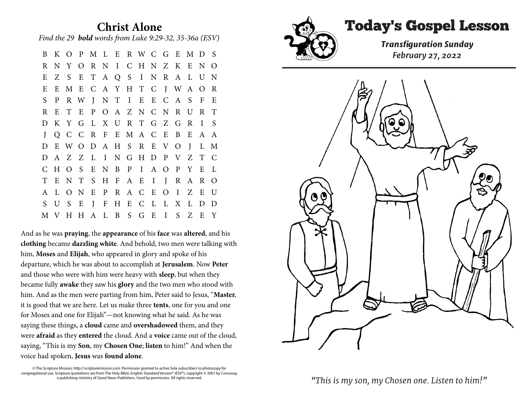## **Christ Alone** *Find the 29 bold words from Luke 9:29-32, 35-36a (ESV)*

B K O P M L E R W C G E M D S R N Y O R N I C H N Z K E N O E Z S E T A Q S I N R A L U N E E M E C A Y H T C J W A O R S P R W J N T I E E C A S F E R E T E P O A Z N C N R U R T D K Y G L X U R T G Z G R I S J Q C C R F E M A C E B E A A D E W O D A H S R E V O J L M D A Z Z L I N G H D P V Z T C C H O S E N B P I A O P Y E L T E N T S H F A E I J R A R O A L O N E P R A C E O I Z E U S U S E J F H E C L L X L D D M V H H A L B S G E I S Z E Y

And as he was **praying**, the **appearance** of his **face** was **altered**, and his **clothing** became **dazzling white**. And behold, two men were talking with him, **Moses** and **Elijah**, who appeared in glory and spoke of his departure, which he was about to accomplish at **Jerusalem**. Now **Peter** and those who were with him were heavy with **sleep**, but when they became fully **awake** they saw his **glory** and the two men who stood with him. And as the men were parting from him, Peter said to Jesus, "**Master**, it is good that we are here. Let us make three **tents**, one for you and one for Moses and one for Elijah"—not knowing what he said. As he was saying these things, a **cloud** came and **overshadowed** them, and they were **afraid** as they **entered** the cloud. And a **voice** came out of the cloud, saying, "This is my **Son**, my **Chosen One**; **listen** to him!" And when the voice had spoken, **Jesus** was **found alone**.

© The Scripture Mission, http://scripturemission.com. Permission granted to active Sola subscribers to photocopy for congregational use. Scripture quotations are from The Holy Bible, English Standard Version® (ESV®), copyright © 2001 by Crossway, a publishing ministry of Good News Publishers. Used by permission. All rights reserved.



## Today's Gospel Lesson

*Transfguration Sunday February 27, 2022*



*"This is my son, my Chosen one. Listen to him!"*